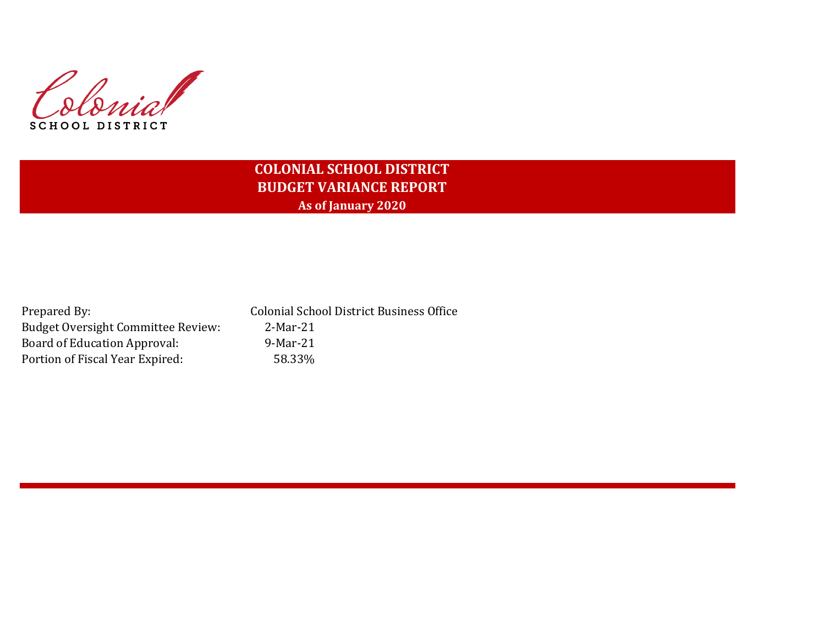Colonial SCHOOL DISTRICT

# **COLONIAL SCHOOL DISTRICT BUDGET VARIANCE REPORT As of January 2020**

| Prepared By:                       | <b>Colonial School District Business Office</b> |
|------------------------------------|-------------------------------------------------|
| Budget Oversight Committee Review: | 2-Mar-21                                        |
| Board of Education Approval:       | 9-Mar-21                                        |
| Portion of Fiscal Year Expired:    | 58.33%                                          |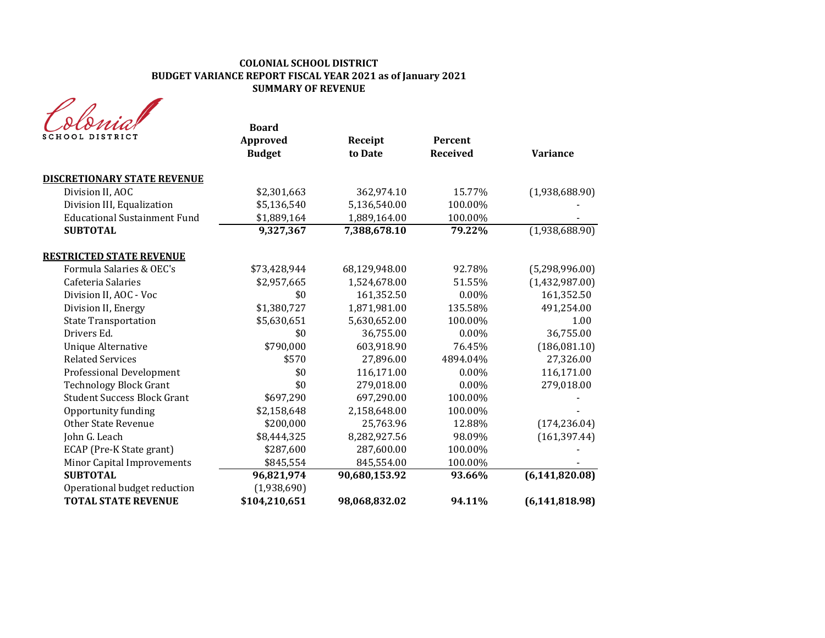## **COLONIAL SCHOOL DISTRICT BUDGET VARIANCE REPORT FISCAL YEAR 2021 as of January 2021 SUMMARY OF REVENUE**

| SCHOOL DISTRICT                     | <b>Board</b><br>Approved<br><b>Budget</b> | Receipt<br>to Date | Percent<br>Received | <b>Variance</b>  |
|-------------------------------------|-------------------------------------------|--------------------|---------------------|------------------|
| <b>DISCRETIONARY STATE REVENUE</b>  |                                           |                    |                     |                  |
| Division II, AOC                    | \$2,301,663                               | 362,974.10         | 15.77%              | (1,938,688.90)   |
| Division III, Equalization          | \$5,136,540                               | 5,136,540.00       | 100.00%             |                  |
| <b>Educational Sustainment Fund</b> | \$1,889,164                               | 1,889,164.00       | 100.00%             |                  |
| <b>SUBTOTAL</b>                     | 9,327,367                                 | 7,388,678.10       | 79.22%              | (1,938,688.90)   |
| <b>RESTRICTED STATE REVENUE</b>     |                                           |                    |                     |                  |
| Formula Salaries & OEC's            | \$73,428,944                              | 68,129,948.00      | 92.78%              | (5,298,996.00)   |
| Cafeteria Salaries                  | \$2,957,665                               | 1,524,678.00       | 51.55%              | (1,432,987.00)   |
| Division II, AOC - Voc              | \$0                                       | 161,352.50         | $0.00\%$            | 161,352.50       |
| Division II, Energy                 | \$1,380,727                               | 1,871,981.00       | 135.58%             | 491,254.00       |
| <b>State Transportation</b>         | \$5,630,651                               | 5,630,652.00       | 100.00%             | 1.00             |
| Drivers Ed.                         | \$0                                       | 36,755.00          | $0.00\%$            | 36,755.00        |
| <b>Unique Alternative</b>           | \$790,000                                 | 603,918.90         | 76.45%              | (186,081.10)     |
| <b>Related Services</b>             | \$570                                     | 27,896.00          | 4894.04%            | 27,326.00        |
| <b>Professional Development</b>     | \$0                                       | 116,171.00         | $0.00\%$            | 116,171.00       |
| <b>Technology Block Grant</b>       | \$0                                       | 279,018.00         | $0.00\%$            | 279,018.00       |
| <b>Student Success Block Grant</b>  | \$697,290                                 | 697,290.00         | 100.00%             |                  |
| Opportunity funding                 | \$2,158,648                               | 2,158,648.00       | 100.00%             |                  |
| <b>Other State Revenue</b>          | \$200,000                                 | 25,763.96          | 12.88%              | (174, 236.04)    |
| John G. Leach                       | \$8,444,325                               | 8,282,927.56       | 98.09%              | (161, 397.44)    |
| ECAP (Pre-K State grant)            | \$287,600                                 | 287,600.00         | 100.00%             |                  |
| Minor Capital Improvements          | \$845,554                                 | 845,554.00         | 100.00%             |                  |
| <b>SUBTOTAL</b>                     | 96,821,974                                | 90,680,153.92      | 93.66%              | (6, 141, 820.08) |
| Operational budget reduction        | (1,938,690)                               |                    |                     |                  |
| <b>TOTAL STATE REVENUE</b>          | \$104,210,651                             | 98,068,832.02      | 94.11%              | (6, 141, 818.98) |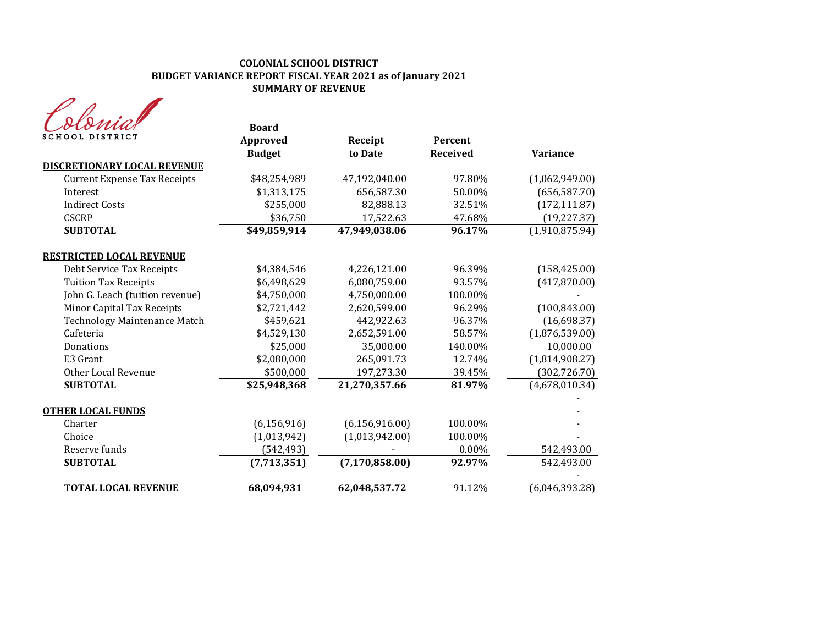## **COLONIAL SCHOOL DISTRICT BUDGET VARIANCE REPORT FISCAL YEAR 2021 as of January 2021 SUMMARY OF REVENUE**

|                                     | <b>Board</b>    |                  |                 |                 |
|-------------------------------------|-----------------|------------------|-----------------|-----------------|
| SCHOOL DISTRICT                     | <b>Approved</b> | Receipt          | Percent         |                 |
|                                     | <b>Budget</b>   | to Date          | <b>Received</b> | <b>Variance</b> |
| DISCRETIONARY LOCAL REVENUE         |                 |                  |                 |                 |
| <b>Current Expense Tax Receipts</b> | \$48,254,989    | 47,192,040.00    | 97.80%          | (1,062,949.00)  |
| Interest                            | \$1,313,175     | 656,587.30       | 50.00%          | (656, 587.70)   |
| <b>Indirect Costs</b>               | \$255,000       | 82,888.13        | 32.51%          | (172, 111.87)   |
| <b>CSCRP</b>                        | \$36,750        | 17,522.63        | 47.68%          | (19, 227.37)    |
| <b>SUBTOTAL</b>                     | \$49,859,914    | 47,949,038.06    | 96.17%          | (1,910,875.94)  |
| <b>RESTRICTED LOCAL REVENUE</b>     |                 |                  |                 |                 |
| Debt Service Tax Receipts           | \$4,384,546     | 4,226,121.00     | 96.39%          | (158, 425.00)   |
| <b>Tuition Tax Receipts</b>         | \$6,498,629     | 6,080,759.00     | 93.57%          | (417,870.00)    |
| John G. Leach (tuition revenue)     | \$4,750,000     | 4,750,000.00     | 100.00%         |                 |
| Minor Capital Tax Receipts          | \$2,721,442     | 2,620,599.00     | 96.29%          | (100, 843.00)   |
| <b>Technology Maintenance Match</b> | \$459,621       | 442,922.63       | 96.37%          | (16,698.37)     |
| Cafeteria                           | \$4,529,130     | 2,652,591.00     | 58.57%          | (1,876,539.00)  |
| Donations                           | \$25,000        | 35,000.00        | 140.00%         | 10,000.00       |
| E3 Grant                            | \$2,080,000     | 265,091.73       | 12.74%          | (1,814,908.27)  |
| Other Local Revenue                 | \$500,000       | 197,273.30       | 39.45%          | (302, 726.70)   |
| <b>SUBTOTAL</b>                     | \$25,948,368    | 21,270,357.66    | 81.97%          | (4,678,010.34)  |
| <b>OTHER LOCAL FUNDS</b>            |                 |                  |                 |                 |
| Charter                             | (6, 156, 916)   | (6, 156, 916.00) | 100.00%         |                 |
| Choice                              | (1,013,942)     | (1,013,942.00)   | 100.00%         |                 |
| Reserve funds                       | (542, 493)      |                  | $0.00\%$        | 542,493.00      |
| <b>SUBTOTAL</b>                     | (7,713,351)     | (7, 170, 858.00) | 92.97%          | 542,493.00      |
| <b>TOTAL LOCAL REVENUE</b>          | 68,094,931      | 62,048,537.72    | 91.12%          | (6,046,393.28)  |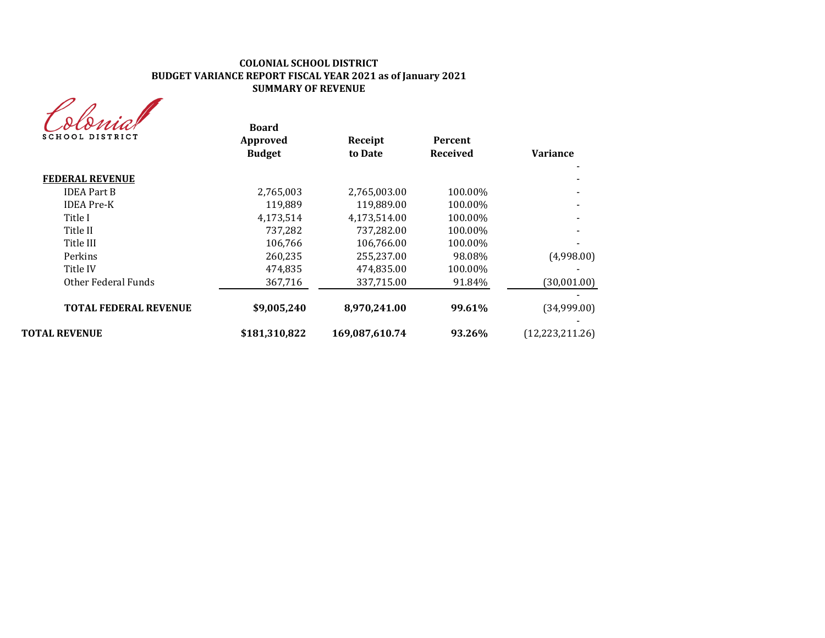## **COLONIAL SCHOOL DISTRICT BUDGET VARIANCE REPORT FISCAL YEAR 2021 as of January 2021 SUMMARY OF REVENUE**

Colonial

| <b>Variance</b>   | <b>Percent</b><br><b>Received</b> | Receipt<br>to Date | <b>Board</b><br>Approved<br><b>Budget</b> | <i>coronnir</i><br>SCHOOL DISTRICT |
|-------------------|-----------------------------------|--------------------|-------------------------------------------|------------------------------------|
|                   |                                   |                    |                                           | <b>FEDERAL REVENUE</b>             |
|                   | 100.00%                           | 2,765,003.00       | 2,765,003                                 | <b>IDEA Part B</b>                 |
|                   | 100.00%                           | 119.889.00         | 119,889                                   | <b>IDEA</b> Pre-K                  |
|                   | 100.00%                           | 4,173,514.00       | 4,173,514                                 | Title I                            |
|                   | 100.00%                           | 737,282.00         | 737,282                                   | Title II                           |
|                   | 100.00%                           | 106,766.00         | 106,766                                   | Title III                          |
| (4,998.00)        | 98.08%                            | 255,237.00         | 260,235                                   | Perkins                            |
|                   | 100.00%                           | 474,835.00         | 474,835                                   | Title IV                           |
| (30,001.00)       | 91.84%                            | 337,715.00         | 367,716                                   | Other Federal Funds                |
| (34,999.00)       | 99.61%                            | 8,970,241.00       | \$9,005,240                               | <b>TOTAL FEDERAL REVENUE</b>       |
| (12, 223, 211.26) | 93.26%                            | 169,087,610.74     | \$181,310,822                             | <b>TOTAL REVENUE</b>               |
|                   |                                   |                    |                                           |                                    |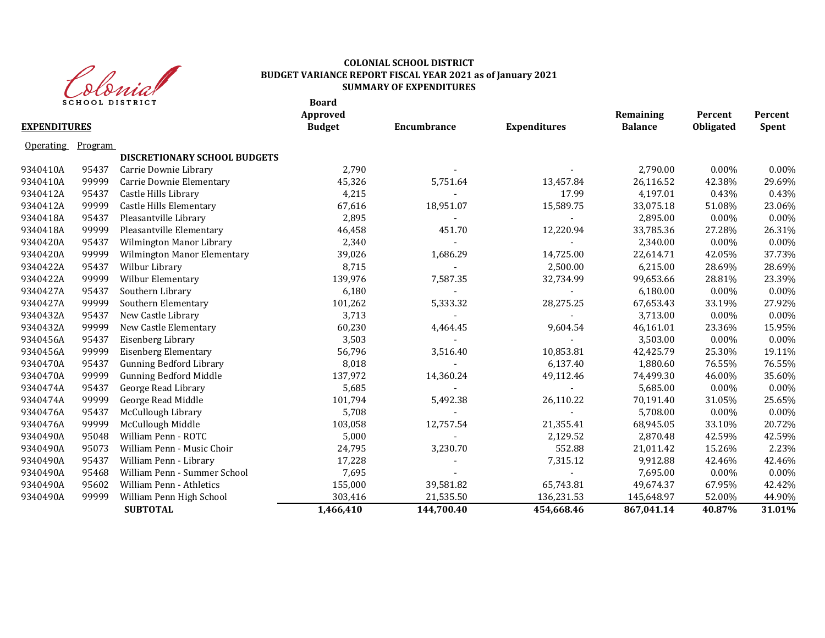

## **COLONIAL SCHOOL DISTRICT BUDGET VARIANCE REPORT FISCAL YEAR 2021 as of January 2021 SUMMARY OF EXPENDITURES**

**Board Approved Remaining Percent Percent EXPENDITURES Budget Encumbrance Expenditures Balance Obligated Spent** Operating Program **DISCRETIONARY SCHOOL BUDGETS** 9340410A 95437 Carrie Downie Library 2,790 - - 2,790.00 0.00% 0.00% 9340410A 99999 Carrie Downie Elementary 6.67526 45,326 5,751.64 13,457.84 26,116.52 42.38% 29.69% 9340412A 95437 Castle Hills Library 4,215 - 17.99 4,197.01 0.43% 0.43% 9340412A 99999 Castle Hills Elementary 67,616 18,951.07 15,589.75 33,075.18 51.08% 23.06% 9340418A 95437 Pleasantville Library 2,895 - - 2,895.00 0.00% 0.00% 9340418A 99999 Pleasantville Elementary 46,458 451.70 12,220.94 33,785.36 27.28% 26.31% 9340420A 95437 Wilmington Manor Library 2,340 2,340 - 2,340.00 2,340.00 0.00% 0.00% 0.00% 9340420A 99999 Wilmington Manor Elementary 39,026 1,686.29 14,725.00 22,614.71 42.05% 37.73% 9340422A 95437 Wilbur Library 8,715 - 2,500.00 6,215.00 28.69% 28.69% 9340422A 99999 Wilbur ${\rm Elementary}$  139,976  $7,587.35$  32,734.99  $99,653.66$  28.81% 23.39% 9340427A 95437 Southern Library 6,180 - - 6,180.00 0.00% 0.00% 9340427A 99999 Southern Elementary 101,262 5,333.32 28,275.25 67,653.43 33.19% 27.92% 9340432A 95437 New Castle Library 3,713 - - 3,713.00 0.00% 0.00% 9340432A 99999 New Castle Elementary 60,230 4,464.45 9,604.54 46,161.01 23.36% 15.95% 9340456A 95437 Eisenberg Library 3,503 - - 3,503.00 0.00% 0.00% 9340456A 99999 Eisenberg Elementary 56,796 3,516.40 10,853.81 42,425.79 25.30% 19.11% 9340470A 95437 Gunning Bedford Library 6,018 6,137.40 6,137.40 1,880.60 76.55% 76.55% 76.55% 9340470A 99999 Gunning Bedford Middle 137,972 14,360.24 49,112.46 74,499.30 46.00% 35.60% 9340474A 95437 George Read Library 5,685 - - 5,685.00 0.00% 0.00% 9340474A 99999 George Read Middle 101,794 5,492.38 26,110.22 70,191.40 31.05% 25.65% 9340476A 95437 McCullough Library 5,708 - - 5,708.00 0.00% 0.00% 9340476A 99999 McCullough Middle 103,058 12,757.54 21,355.41 68,945.05 33.10% 20.72% 9340490A 95048 William Penn - ROTC 5,000 2,129.52 2,870.48 42.59% 42.59% 9340490A 95073 William Penn - Music Choir 24,795 3,230.70 552.88 21,011.42 15.26% 2.23% 9340490A 95437 William Penn - Library 2008 17,228 - 7,315.12 9,912.88 42.46% 42.46% 42.46% 9340490A 95468 William Penn - Summer School 2008 7,695 - 2008 - 2010 - 2020 7,695.00 0.00% 0.00% 0.00% 0.00% 0.00% 9340490A 95602 William Penn - Athletics 155,000 39,581.82 65,743.81 49,674.37 67.95% 42.42% 9340490A 99999 William Penn High School 303,416 21,535.50 136,231.53 145,648.97 52.00% 44.90%  **SUBTOTAL 1,466,410 144,700.40 454,668.46 867,041.14 40.87% 31.01%**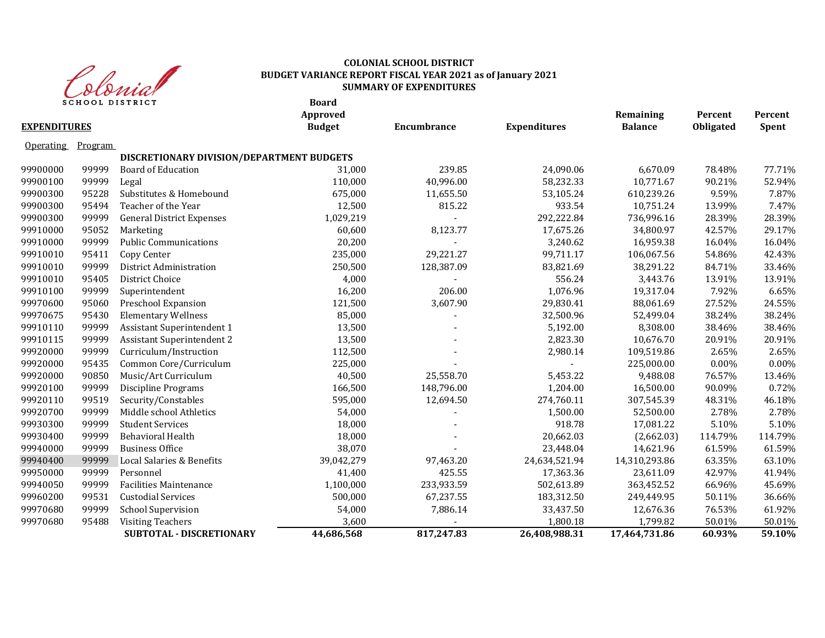

#### **Board COLONIAL SCHOOL DISTRICT BUDGET VARIANCE REPORT FISCAL YEAR 2021 as of January 2021 SUMMARY OF EXPENDITURES**

| <b>EXPENDITURES</b> |         | SCHOOL DISIRICI                           | boaru<br>Approved<br><b>Budget</b> | Encumbrance | <b>Expenditures</b> | Remaining<br><b>Balance</b> | Percent<br><b>Obligated</b> | Percent<br>Spent |
|---------------------|---------|-------------------------------------------|------------------------------------|-------------|---------------------|-----------------------------|-----------------------------|------------------|
| <b>Operating</b>    | Program |                                           |                                    |             |                     |                             |                             |                  |
|                     |         | DISCRETIONARY DIVISION/DEPARTMENT BUDGETS |                                    |             |                     |                             |                             |                  |
| 99900000            | 99999   | <b>Board of Education</b>                 | 31,000                             | 239.85      | 24,090.06           | 6,670.09                    | 78.48%                      | 77.71%           |
| 99900100            | 99999   | Legal                                     | 110,000                            | 40,996.00   | 58,232.33           | 10,771.67                   | 90.21%                      | 52.94%           |
| 99900300            | 95228   | Substitutes & Homebound                   | 675,000                            | 11,655.50   | 53,105.24           | 610,239.26                  | 9.59%                       | 7.87%            |
| 99900300            | 95494   | Teacher of the Year                       | 12,500                             | 815.22      | 933.54              | 10,751.24                   | 13.99%                      | 7.47%            |
| 99900300            | 99999   | <b>General District Expenses</b>          | 1,029,219                          |             | 292,222.84          | 736,996.16                  | 28.39%                      | 28.39%           |
| 99910000            | 95052   | Marketing                                 | 60,600                             | 8,123.77    | 17,675.26           | 34,800.97                   | 42.57%                      | 29.17%           |
| 99910000            | 99999   | <b>Public Communications</b>              | 20,200                             |             | 3,240.62            | 16,959.38                   | 16.04%                      | 16.04%           |
| 99910010            | 95411   | Copy Center                               | 235,000                            | 29,221.27   | 99,711.17           | 106,067.56                  | 54.86%                      | 42.43%           |
| 99910010            | 99999   | District Administration                   | 250,500                            | 128,387.09  | 83,821.69           | 38,291.22                   | 84.71%                      | 33.46%           |
| 99910010            | 95405   | District Choice                           | 4,000                              |             | 556.24              | 3,443.76                    | 13.91%                      | 13.91%           |
| 99910100            | 99999   | Superintendent                            | 16,200                             | 206.00      | 1,076.96            | 19,317.04                   | 7.92%                       | 6.65%            |
| 99970600            | 95060   | Preschool Expansion                       | 121,500                            | 3,607.90    | 29,830.41           | 88,061.69                   | 27.52%                      | 24.55%           |
| 99970675            | 95430   | <b>Elementary Wellness</b>                | 85,000                             |             | 32,500.96           | 52,499.04                   | 38.24%                      | 38.24%           |
| 99910110            | 99999   | Assistant Superintendent 1                | 13,500                             |             | 5,192.00            | 8,308.00                    | 38.46%                      | 38.46%           |
| 99910115            | 99999   | Assistant Superintendent 2                | 13,500                             |             | 2,823.30            | 10,676.70                   | 20.91%                      | 20.91%           |
| 99920000            | 99999   | Curriculum/Instruction                    | 112,500                            |             | 2,980.14            | 109,519.86                  | 2.65%                       | 2.65%            |
| 99920000            | 95435   | Common Core/Curriculum                    | 225,000                            |             |                     | 225,000.00                  | 0.00%                       | 0.00%            |
| 99920000            | 90850   | Music/Art Curriculum                      | 40,500                             | 25,558.70   | 5,453.22            | 9,488.08                    | 76.57%                      | 13.46%           |
| 99920100            | 99999   | Discipline Programs                       | 166,500                            | 148,796.00  | 1,204.00            | 16,500.00                   | 90.09%                      | 0.72%            |
| 99920110            | 99519   | Security/Constables                       | 595,000                            | 12,694.50   | 274,760.11          | 307,545.39                  | 48.31%                      | 46.18%           |
| 99920700            | 99999   | Middle school Athletics                   | 54,000                             |             | 1,500.00            | 52,500.00                   | 2.78%                       | 2.78%            |
| 99930300            | 99999   | <b>Student Services</b>                   | 18,000                             |             | 918.78              | 17,081.22                   | 5.10%                       | 5.10%            |
| 99930400            | 99999   | Behavioral Health                         | 18,000                             |             | 20,662.03           | (2,662.03)                  | 114.79%                     | 114.79%          |
| 99940000            | 99999   | <b>Business Office</b>                    | 38,070                             |             | 23,448.04           | 14,621.96                   | 61.59%                      | 61.59%           |
| 99940400            | 99999   | Local Salaries & Benefits                 | 39,042,279                         | 97,463.20   | 24,634,521.94       | 14,310,293.86               | 63.35%                      | 63.10%           |
| 99950000            | 99999   | Personnel                                 | 41,400                             | 425.55      | 17,363.36           | 23,611.09                   | 42.97%                      | 41.94%           |
| 99940050            | 99999   | <b>Facilities Maintenance</b>             | 1,100,000                          | 233,933.59  | 502,613.89          | 363,452.52                  | 66.96%                      | 45.69%           |
| 99960200            | 99531   | <b>Custodial Services</b>                 | 500,000                            | 67,237.55   | 183,312.50          | 249,449.95                  | 50.11%                      | 36.66%           |
| 99970680            | 99999   | <b>School Supervision</b>                 | 54,000                             | 7,886.14    | 33,437.50           | 12,676.36                   | 76.53%                      | 61.92%           |
| 99970680            | 95488   | <b>Visiting Teachers</b>                  | 3,600                              |             | 1,800.18            | 1,799.82                    | 50.01%                      | 50.01%           |
|                     |         | SUBTOTAL - DISCRETIONARY                  | 44,686,568                         | 817,247.83  | 26,408,988.31       | 17,464,731.86               | 60.93%                      | 59.10%           |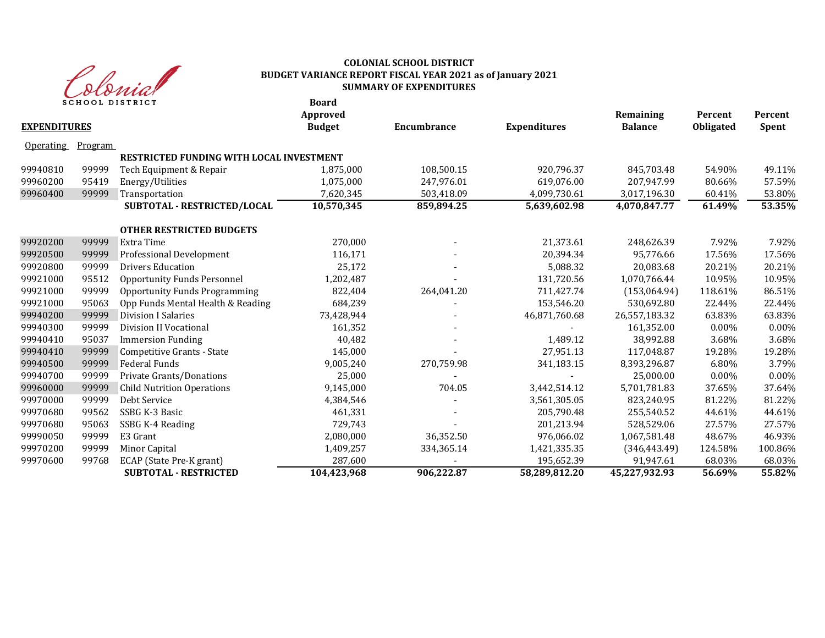

#### **Board COLONIAL SCHOOL DISTRICT BUDGET VARIANCE REPORT FISCAL YEAR 2021 as of January 2021 SUMMARY OF EXPENDITURES**

| <b>EXPENDITURES</b> |                | SCHOOL DISTRICT                                 | board<br>Approved<br><b>Budget</b> | Encumbrance | <b>Expenditures</b> | Remaining<br><b>Balance</b> | Percent<br><b>Obligated</b> | Percent<br>Spent |
|---------------------|----------------|-------------------------------------------------|------------------------------------|-------------|---------------------|-----------------------------|-----------------------------|------------------|
| <b>Operating</b>    | <b>Program</b> |                                                 |                                    |             |                     |                             |                             |                  |
|                     |                | <b>RESTRICTED FUNDING WITH LOCAL INVESTMENT</b> |                                    |             |                     |                             |                             |                  |
| 99940810            | 99999          | Tech Equipment & Repair                         | 1,875,000                          | 108,500.15  | 920,796.37          | 845,703.48                  | 54.90%                      | 49.11%           |
| 99960200            | 95419          | Energy/Utilities                                | 1,075,000                          | 247.976.01  | 619,076.00          | 207,947.99                  | 80.66%                      | 57.59%           |
| 99960400            | 99999          | Transportation                                  | 7,620,345                          | 503,418.09  | 4,099,730.61        | 3,017,196.30                | 60.41%                      | 53.80%           |
|                     |                | SUBTOTAL - RESTRICTED/LOCAL                     | 10,570,345                         | 859,894.25  | 5,639,602.98        | 4,070,847.77                | 61.49%                      | 53.35%           |
|                     |                | <b>OTHER RESTRICTED BUDGETS</b>                 |                                    |             |                     |                             |                             |                  |
| 99920200            | 99999          | Extra Time                                      | 270,000                            |             | 21,373.61           | 248,626.39                  | 7.92%                       | 7.92%            |
| 99920500            | 99999          | Professional Development                        | 116,171                            |             | 20,394.34           | 95,776.66                   | 17.56%                      | 17.56%           |
| 99920800            | 99999          | <b>Drivers Education</b>                        | 25,172                             |             | 5,088.32            | 20,083.68                   | 20.21%                      | 20.21%           |
| 99921000            | 95512          | <b>Opportunity Funds Personnel</b>              | 1,202,487                          |             | 131,720.56          | 1,070,766.44                | 10.95%                      | 10.95%           |
| 99921000            | 99999          | <b>Opportunity Funds Programming</b>            | 822,404                            | 264,041.20  | 711,427.74          | (153,064.94)                | 118.61%                     | 86.51%           |
| 99921000            | 95063          | Opp Funds Mental Health & Reading               | 684,239                            |             | 153,546.20          | 530,692.80                  | 22.44%                      | 22.44%           |
| 99940200            | 99999          | <b>Division I Salaries</b>                      | 73,428,944                         |             | 46,871,760.68       | 26,557,183.32               | 63.83%                      | 63.83%           |
| 99940300            | 99999          | Division II Vocational                          | 161,352                            |             |                     | 161,352.00                  | 0.00%                       | 0.00%            |
| 99940410            | 95037          | <b>Immersion Funding</b>                        | 40,482                             |             | 1,489.12            | 38,992.88                   | 3.68%                       | 3.68%            |
| 99940410            | 99999          | Competitive Grants - State                      | 145,000                            |             | 27,951.13           | 117,048.87                  | 19.28%                      | 19.28%           |
| 99940500            | 99999          | Federal Funds                                   | 9,005,240                          | 270,759.98  | 341,183.15          | 8,393,296.87                | 6.80%                       | 3.79%            |
| 99940700            | 99999          | Private Grants/Donations                        | 25,000                             |             |                     | 25,000.00                   | $0.00\%$                    | $0.00\%$         |
| 99960000            | 99999          | <b>Child Nutrition Operations</b>               | 9,145,000                          | 704.05      | 3,442,514.12        | 5,701,781.83                | 37.65%                      | 37.64%           |
| 99970000            | 99999          | Debt Service                                    | 4,384,546                          |             | 3,561,305.05        | 823,240.95                  | 81.22%                      | 81.22%           |
| 99970680            | 99562          | SSBG K-3 Basic                                  | 461,331                            |             | 205,790.48          | 255,540.52                  | 44.61%                      | 44.61%           |
| 99970680            | 95063          | SSBG K-4 Reading                                | 729,743                            |             | 201,213.94          | 528,529.06                  | 27.57%                      | 27.57%           |
| 99990050            | 99999          | E3 Grant                                        | 2,080,000                          | 36,352.50   | 976,066.02          | 1,067,581.48                | 48.67%                      | 46.93%           |
| 99970200            | 99999          | Minor Capital                                   | 1,409,257                          | 334,365.14  | 1,421,335.35        | (346, 443.49)               | 124.58%                     | 100.86%          |
| 99970600            | 99768          | ECAP (State Pre-K grant)                        | 287,600                            |             | 195,652.39          | 91,947.61                   | 68.03%                      | 68.03%           |
|                     |                | <b>SUBTOTAL - RESTRICTED</b>                    | 104,423,968                        | 906,222.87  | 58,289,812.20       | 45,227,932.93               | 56.69%                      | 55.82%           |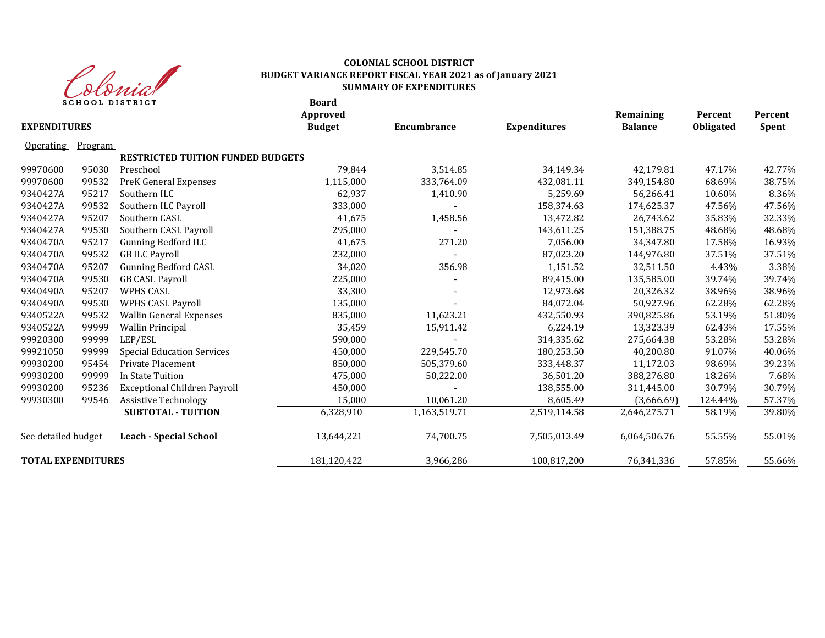

## **COLONIAL SCHOOL DISTRICT BUDGET VARIANCE REPORT FISCAL YEAR 2021 as of January 2021 SUMMARY OF EXPENDITURES**

**Board**

| <b>EXPENDITURES</b>       |         |                                          | Approved<br><b>Budget</b> | Encumbrance  | <b>Expenditures</b> | Remaining<br><b>Balance</b> | Percent<br>Obligated | Percent<br><b>Spent</b> |
|---------------------------|---------|------------------------------------------|---------------------------|--------------|---------------------|-----------------------------|----------------------|-------------------------|
| <b>Operating</b>          | Program |                                          |                           |              |                     |                             |                      |                         |
|                           |         | <b>RESTRICTED TUITION FUNDED BUDGETS</b> |                           |              |                     |                             |                      |                         |
| 99970600                  | 95030   | Preschool                                | 79,844                    | 3,514.85     | 34,149.34           | 42,179.81                   | 47.17%               | 42.77%                  |
| 99970600                  | 99532   | PreK General Expenses                    | 1,115,000                 | 333,764.09   | 432,081.11          | 349,154.80                  | 68.69%               | 38.75%                  |
| 9340427A                  | 95217   | Southern ILC                             | 62,937                    | 1,410.90     | 5,259.69            | 56,266.41                   | 10.60%               | 8.36%                   |
| 9340427A                  | 99532   | Southern ILC Payroll                     | 333,000                   |              | 158,374.63          | 174,625.37                  | 47.56%               | 47.56%                  |
| 9340427A                  | 95207   | Southern CASL                            | 41,675                    | 1,458.56     | 13,472.82           | 26,743.62                   | 35.83%               | 32.33%                  |
| 9340427A                  | 99530   | Southern CASL Payroll                    | 295,000                   |              | 143,611.25          | 151,388.75                  | 48.68%               | 48.68%                  |
| 9340470A                  | 95217   | <b>Gunning Bedford ILC</b>               | 41,675                    | 271.20       | 7,056.00            | 34,347.80                   | 17.58%               | 16.93%                  |
| 9340470A                  | 99532   | <b>GB ILC Payroll</b>                    | 232,000                   |              | 87,023.20           | 144,976.80                  | 37.51%               | 37.51%                  |
| 9340470A                  | 95207   | <b>Gunning Bedford CASL</b>              | 34,020                    | 356.98       | 1,151.52            | 32,511.50                   | 4.43%                | 3.38%                   |
| 9340470A                  | 99530   | <b>GB CASL Payroll</b>                   | 225,000                   |              | 89,415.00           | 135,585.00                  | 39.74%               | 39.74%                  |
| 9340490A                  | 95207   | <b>WPHS CASL</b>                         | 33,300                    |              | 12,973.68           | 20,326.32                   | 38.96%               | 38.96%                  |
| 9340490A                  | 99530   | <b>WPHS CASL Payroll</b>                 | 135,000                   |              | 84.072.04           | 50.927.96                   | 62.28%               | 62.28%                  |
| 9340522A                  | 99532   | Wallin General Expenses                  | 835,000                   | 11,623.21    | 432,550.93          | 390,825.86                  | 53.19%               | 51.80%                  |
| 9340522A                  | 99999   | <b>Wallin Principal</b>                  | 35,459                    | 15,911.42    | 6,224.19            | 13,323.39                   | 62.43%               | 17.55%                  |
| 99920300                  | 99999   | LEP/ESL                                  | 590,000                   |              | 314,335.62          | 275,664.38                  | 53.28%               | 53.28%                  |
| 99921050                  | 99999   | <b>Special Education Services</b>        | 450,000                   | 229,545.70   | 180,253.50          | 40,200.80                   | 91.07%               | 40.06%                  |
| 99930200                  | 95454   | Private Placement                        | 850,000                   | 505,379.60   | 333,448.37          | 11,172.03                   | 98.69%               | 39.23%                  |
| 99930200                  | 99999   | In State Tuition                         | 475,000                   | 50,222.00    | 36,501.20           | 388,276.80                  | 18.26%               | 7.68%                   |
| 99930200                  | 95236   | <b>Exceptional Children Payroll</b>      | 450,000                   |              | 138,555.00          | 311,445.00                  | 30.79%               | 30.79%                  |
| 99930300                  | 99546   | <b>Assistive Technology</b>              | 15,000                    | 10,061.20    | 8,605.49            | (3,666.69)                  | 124.44%              | 57.37%                  |
|                           |         | <b>SUBTOTAL - TUITION</b>                | 6,328,910                 | 1,163,519.71 | 2,519,114.58        | 2,646,275.71                | 58.19%               | 39.80%                  |
| See detailed budget       |         | <b>Leach - Special School</b>            | 13,644,221                | 74,700.75    | 7,505,013.49        | 6,064,506.76                | 55.55%               | 55.01%                  |
| <b>TOTAL EXPENDITURES</b> |         |                                          | 181,120,422               | 3,966,286    | 100,817,200         | 76,341,336                  | 57.85%               | 55.66%                  |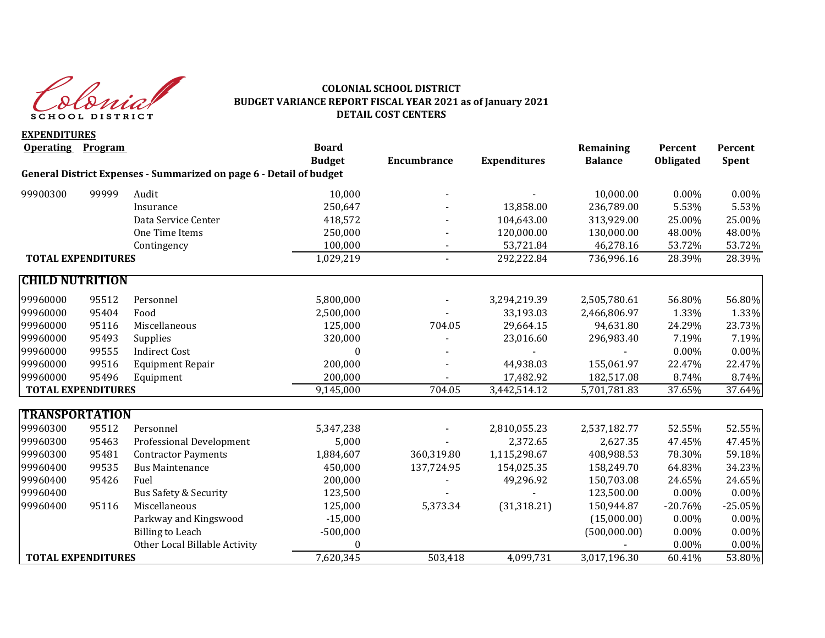

#### **COLONIAL SCHOOL DISTRICT BUDGET VARIANCE REPORT FISCAL YEAR 2021 as of January 2021 DETAIL COST CENTERS**

**EXPENDITURES Operating Program Board Remaining Percent Percent Budget Encumbrance Expenditures Balance Obligated Spent General District Expenses - Summarized on page 6 - Detail of budget** 99900300 99999 Audit 10,000 - - 10,000.00 0.00% 0.00% Insurance 250,647 - 13,858.00 236,789.00 5.53% 5.53% Data Service Center 418,572 104.643.00 313.929.00 25.00% 25.00% One Time Items 250,000 - 120,000.00 130,000.00 48.00% 48.00% Contingency 2003 100,000 - 53,721.84 46,278.16 53.72% 53.72% **TOTAL EXPENDITURES** 1,029.219 - 292.222.84 736.996.16 28.39% 28.39% **CHILD NUTRITION**  99960000 95512 Personnel 5,800,000 - 3,294,219.39 2,505,780.61 56.80% 56.80% 99960000 95404 Food 2,500,000 - 33,193.03 2,466,806.97 1.33% 1.33% 99960000 95116 Miscellaneous 125,000 704.05 29,664.15 94,631.80 24.29% 23.73% 99960000 95493 Supplies 320,000 - 23,016.60 296,983.40 7.19% 7.19% 99960000 99555 Indirect Cost 0 - - - 0.00% 0.00% 99960000 99516 Equipment Repair 200,000 - 44,938.03 155,061.97 22.47% 22.47% 99960000 95496 Equipment 200,000 - 17,482.92 182,517.08 8.74% 8.74% **TOTAL EXPENDITURES** 137.64% **9,145,000** 704.05 3,442,514.12 5,701,781.83 37.65% 37.64% **TRANSPORTATION** 99960300 95512 Personnel 5,347,238 - 2,810,055.23 2,537,182.77 52.55% 52.55% 99960300 95463 Professional Development 5,000 - 2,372.65 2,627.35 47.45% 47.45% 99960300 95481 Contractor Payments 1,884,607 360,319.80 1,115,298.67 408,988.53 78.30% 59.18% 99960400 99535 Bus Maintenance 450,000 137,724.95 154,025.35 158,249.70 64.83% 34.23% 99960400 95426 Fuel 200,000 - 49,296.92 150,703.08 24.65% 24.65% 99960400 Bus Safety & Security 123,500 - - 123,500.00 0.00% 0.00% 0.00% 99960400 95116 Miscellaneous 125,000 5,373.34 (31,318.21) 150,944.87 -20.76% -25.05% Parkway and Kingswood **2008** -15,000 **1208** -15,000 **15,000 15,000 16,000 16,000 16,000 16,000** 15,000 16,000 16,000 16,000 16,000 16,000 16,000 16,000 16,000 16,000 16,000 16,000 16,000 16,000 16,000 16,000 16,000 16,000 Billing to Leach -500,000 (500,000.00) 0.00% 0.00% Other Local Billable Activity  $0$  0.00% 0.00% 0.00% 0.00%  **TOTAL EXPENDITURES** 7,620,345 503,418 4,099,731 3,017,196.30 60.41% 53.80%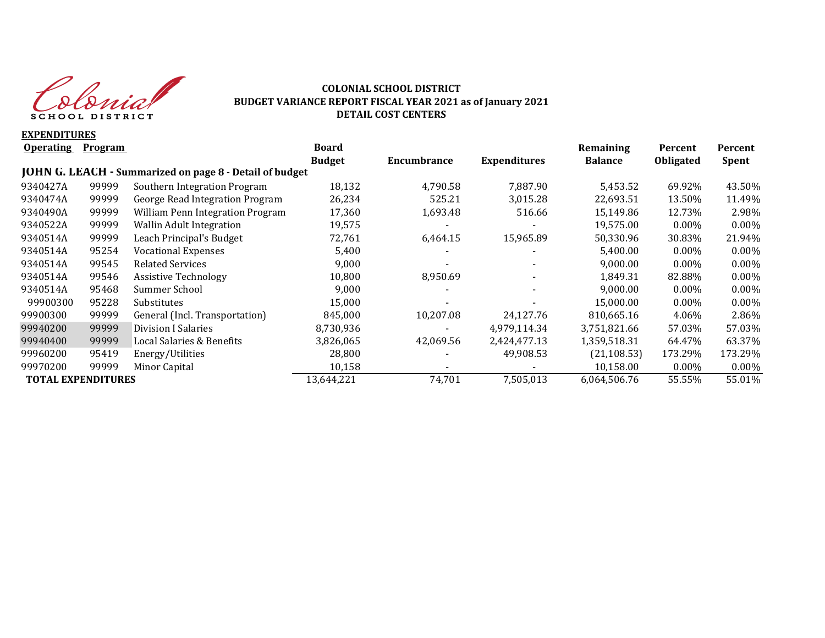

## **COLONIAL SCHOOL DISTRICT BUDGET VARIANCE REPORT FISCAL YEAR 2021 as of January 2021 DETAIL COST CENTERS**

**EXPENDITURES**

| <b>Operating</b>          | Program |                                                         | <b>Board</b>  |             |                     | Remaining      | Percent          | Percent      |
|---------------------------|---------|---------------------------------------------------------|---------------|-------------|---------------------|----------------|------------------|--------------|
|                           |         |                                                         | <b>Budget</b> | Encumbrance | <b>Expenditures</b> | <b>Balance</b> | <b>Obligated</b> | <b>Spent</b> |
|                           |         | JOHN G. LEACH - Summarized on page 8 - Detail of budget |               |             |                     |                |                  |              |
| 9340427A                  | 99999   | Southern Integration Program                            | 18,132        | 4,790.58    | 7.887.90            | 5.453.52       | 69.92%           | 43.50%       |
| 9340474A                  | 99999   | George Read Integration Program                         | 26,234        | 525.21      | 3,015.28            | 22,693.51      | 13.50%           | 11.49%       |
| 9340490A                  | 99999   | William Penn Integration Program                        | 17,360        | 1,693.48    | 516.66              | 15,149.86      | 12.73%           | 2.98%        |
| 9340522A                  | 99999   | <b>Wallin Adult Integration</b>                         | 19,575        |             |                     | 19,575.00      | $0.00\%$         | $0.00\%$     |
| 9340514A                  | 99999   | Leach Principal's Budget                                | 72,761        | 6,464.15    | 15,965.89           | 50,330.96      | 30.83%           | 21.94%       |
| 9340514A                  | 95254   | <b>Vocational Expenses</b>                              | 5,400         |             |                     | 5,400.00       | $0.00\%$         | 0.00%        |
| 9340514A                  | 99545   | <b>Related Services</b>                                 | 9,000         |             |                     | 9,000.00       | $0.00\%$         | $0.00\%$     |
| 9340514A                  | 99546   | <b>Assistive Technology</b>                             | 10,800        | 8,950.69    |                     | 1,849.31       | 82.88%           | $0.00\%$     |
| 9340514A                  | 95468   | Summer School                                           | 9,000         |             |                     | 9,000.00       | $0.00\%$         | $0.00\%$     |
| 99900300                  | 95228   | Substitutes                                             | 15,000        |             |                     | 15,000.00      | $0.00\%$         | $0.00\%$     |
| 99900300                  | 99999   | General (Incl. Transportation)                          | 845,000       | 10,207.08   | 24,127.76           | 810,665.16     | 4.06%            | 2.86%        |
| 99940200                  | 99999   | Division I Salaries                                     | 8,730,936     |             | 4,979,114.34        | 3,751,821.66   | 57.03%           | 57.03%       |
| 99940400                  | 99999   | Local Salaries & Benefits                               | 3,826,065     | 42,069.56   | 2,424,477.13        | 1,359,518.31   | 64.47%           | 63.37%       |
| 99960200                  | 95419   | Energy/Utilities                                        | 28,800        |             | 49,908.53           | (21, 108.53)   | 173.29%          | 173.29%      |
| 99970200                  | 99999   | Minor Capital                                           | 10,158        |             |                     | 10,158.00      | $0.00\%$         | $0.00\%$     |
| <b>TOTAL EXPENDITURES</b> |         |                                                         | 13,644,221    | 74,701      | 7,505,013           | 6,064,506.76   | 55.55%           | 55.01%       |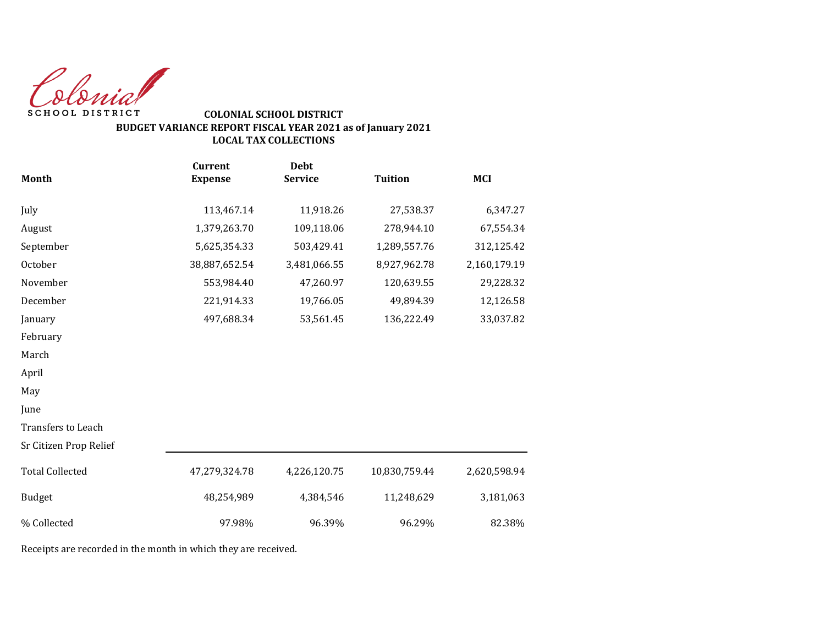Colonial SCHOOL DISTRICT

## **COLONIAL SCHOOL DISTRICT BUDGET VARIANCE REPORT FISCAL YEAR 2021 as of January 2021 LOCAL TAX COLLECTIONS**

|                        | <b>Current</b> | <b>Debt</b>    |                |              |
|------------------------|----------------|----------------|----------------|--------------|
| <b>Month</b>           | <b>Expense</b> | <b>Service</b> | <b>Tuition</b> | <b>MCI</b>   |
| July                   | 113,467.14     | 11,918.26      | 27,538.37      | 6,347.27     |
| August                 | 1,379,263.70   | 109,118.06     | 278,944.10     | 67,554.34    |
| September              | 5,625,354.33   | 503,429.41     | 1,289,557.76   | 312,125.42   |
| October                | 38,887,652.54  | 3,481,066.55   | 8,927,962.78   | 2,160,179.19 |
| November               | 553,984.40     | 47,260.97      | 120,639.55     | 29,228.32    |
| December               | 221,914.33     | 19,766.05      | 49,894.39      | 12,126.58    |
| January                | 497,688.34     | 53,561.45      | 136,222.49     | 33,037.82    |
| February               |                |                |                |              |
| March                  |                |                |                |              |
| April                  |                |                |                |              |
| May                    |                |                |                |              |
| June                   |                |                |                |              |
| Transfers to Leach     |                |                |                |              |
| Sr Citizen Prop Relief |                |                |                |              |
| <b>Total Collected</b> | 47,279,324.78  | 4,226,120.75   | 10,830,759.44  | 2,620,598.94 |
| <b>Budget</b>          | 48,254,989     | 4,384,546      | 11,248,629     | 3,181,063    |
| % Collected            | 97.98%         | 96.39%         | 96.29%         | 82.38%       |

Receipts are recorded in the month in which they are received.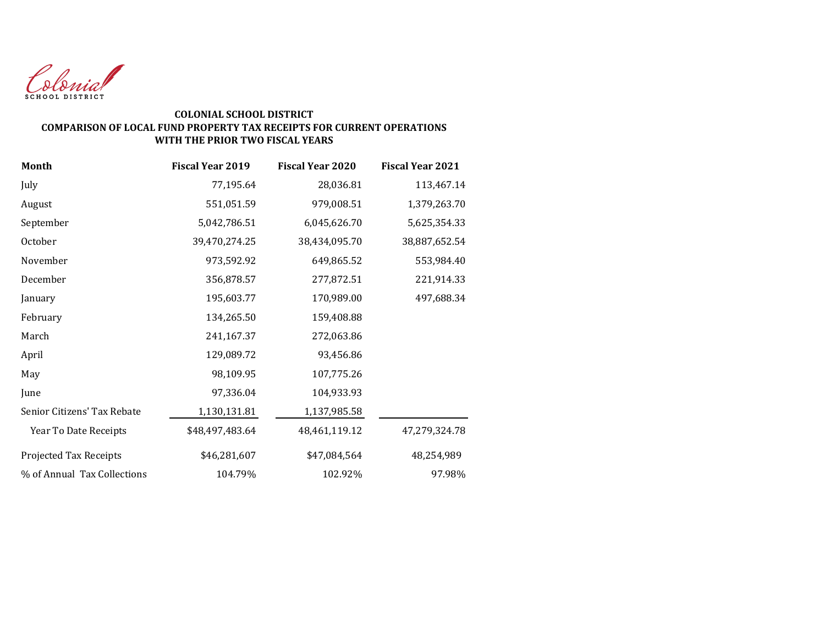

## **COLONIAL SCHOOL DISTRICT COMPARISON OF LOCAL FUND PROPERTY TAX RECEIPTS FOR CURRENT OPERATIONS WITH THE PRIOR TWO FISCAL YEARS**

| <b>Month</b>                | <b>Fiscal Year 2019</b> | <b>Fiscal Year 2020</b> | <b>Fiscal Year 2021</b> |
|-----------------------------|-------------------------|-------------------------|-------------------------|
| July                        | 77,195.64               | 28,036.81               | 113,467.14              |
| August                      | 551,051.59              | 979,008.51              | 1,379,263.70            |
| September                   | 5,042,786.51            | 6,045,626.70            | 5,625,354.33            |
| October                     | 39,470,274.25           | 38,434,095.70           | 38,887,652.54           |
| November                    | 973,592.92              | 649,865.52              | 553,984.40              |
| December                    | 356,878.57              | 277,872.51              | 221,914.33              |
| January                     | 195,603.77              | 170,989.00              | 497,688.34              |
| February                    | 134,265.50              | 159,408.88              |                         |
| March                       | 241,167.37              | 272,063.86              |                         |
| April                       | 129,089.72              | 93,456.86               |                         |
| May                         | 98,109.95               | 107,775.26              |                         |
| June                        | 97,336.04               | 104,933.93              |                         |
| Senior Citizens' Tax Rebate | 1,130,131.81            | 1,137,985.58            |                         |
| Year To Date Receipts       | \$48,497,483.64         | 48,461,119.12           | 47,279,324.78           |
| Projected Tax Receipts      | \$46,281,607            | \$47,084,564            | 48,254,989              |
| % of Annual Tax Collections | 104.79%                 | 102.92%                 | 97.98%                  |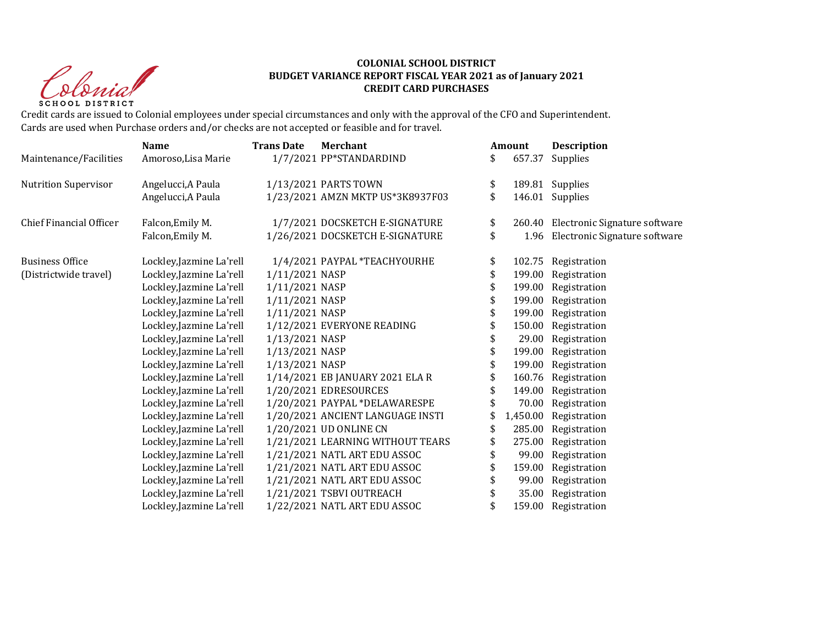Clerid SCHOOL DISTRICT

## **COLONIAL SCHOOL DISTRICT BUDGET VARIANCE REPORT FISCAL YEAR 2021 as of January 2021 CREDIT CARD PURCHASES**

Credit cards are issued to Colonial employees under special circumstances and only with the approval of the CFO and Superintendent. Cards are used when Purchase orders and/or checks are not accepted or feasible and for travel.

|                             | <b>Name</b>              | <b>Trans Date</b> | <b>Merchant</b>                  | Amount         | <b>Description</b>                   |
|-----------------------------|--------------------------|-------------------|----------------------------------|----------------|--------------------------------------|
| Maintenance/Facilities      | Amoroso, Lisa Marie      |                   | 1/7/2021 PP*STANDARDIND          | \$<br>657.37   | Supplies                             |
| <b>Nutrition Supervisor</b> | Angelucci, A Paula       |                   | 1/13/2021 PARTS TOWN             | \$             | 189.81 Supplies                      |
|                             | Angelucci, A Paula       |                   | 1/23/2021 AMZN MKTP US*3K8937F03 | \$             | 146.01 Supplies                      |
| Chief Financial Officer     | Falcon, Emily M.         |                   | 1/7/2021 DOCSKETCH E-SIGNATURE   | \$             | 260.40 Electronic Signature software |
|                             | Falcon, Emily M.         |                   | 1/26/2021 DOCSKETCH E-SIGNATURE  | \$             | 1.96 Electronic Signature software   |
| <b>Business Office</b>      | Lockley, Jazmine La'rell |                   | 1/4/2021 PAYPAL *TEACHYOURHE     | \$<br>102.75   | Registration                         |
| (Districtwide travel)       | Lockley, Jazmine La'rell | 1/11/2021 NASP    |                                  | \$<br>199.00   | Registration                         |
|                             | Lockley, Jazmine La'rell | 1/11/2021 NASP    |                                  | \$             | 199.00 Registration                  |
|                             | Lockley, Jazmine La'rell | 1/11/2021 NASP    |                                  | \$<br>199.00   | Registration                         |
|                             | Lockley, Jazmine La'rell | 1/11/2021 NASP    |                                  | \$<br>199.00   | Registration                         |
|                             | Lockley, Jazmine La'rell |                   | 1/12/2021 EVERYONE READING       | \$<br>150.00   | Registration                         |
|                             | Lockley, Jazmine La'rell | 1/13/2021 NASP    |                                  | \$<br>29.00    | Registration                         |
|                             | Lockley, Jazmine La'rell | 1/13/2021 NASP    |                                  | \$<br>199.00   | Registration                         |
|                             | Lockley, Jazmine La'rell | 1/13/2021 NASP    |                                  | \$             | 199.00 Registration                  |
|                             | Lockley, Jazmine La'rell |                   | 1/14/2021 EB JANUARY 2021 ELA R  | \$             | 160.76 Registration                  |
|                             | Lockley, Jazmine La'rell |                   | 1/20/2021 EDRESOURCES            | \$<br>149.00   | Registration                         |
|                             | Lockley, Jazmine La'rell |                   | 1/20/2021 PAYPAL *DELAWARESPE    | 70.00          | Registration                         |
|                             | Lockley, Jazmine La'rell |                   | 1/20/2021 ANCIENT LANGUAGE INSTI | \$<br>1,450.00 | Registration                         |
|                             | Lockley, Jazmine La'rell |                   | 1/20/2021 UD ONLINE CN           | \$<br>285.00   | Registration                         |
|                             | Lockley, Jazmine La'rell |                   | 1/21/2021 LEARNING WITHOUT TEARS | \$<br>275.00   | Registration                         |
|                             | Lockley, Jazmine La'rell |                   | 1/21/2021 NATL ART EDU ASSOC     | \$<br>99.00    | Registration                         |
|                             | Lockley, Jazmine La'rell |                   | 1/21/2021 NATL ART EDU ASSOC     | \$<br>159.00   | Registration                         |
|                             | Lockley, Jazmine La'rell |                   | 1/21/2021 NATL ART EDU ASSOC     | \$<br>99.00    | Registration                         |
|                             | Lockley, Jazmine La'rell |                   | 1/21/2021 TSBVI OUTREACH         | \$<br>35.00    | Registration                         |
|                             | Lockley, Jazmine La'rell |                   | 1/22/2021 NATL ART EDU ASSOC     | \$<br>159.00   | Registration                         |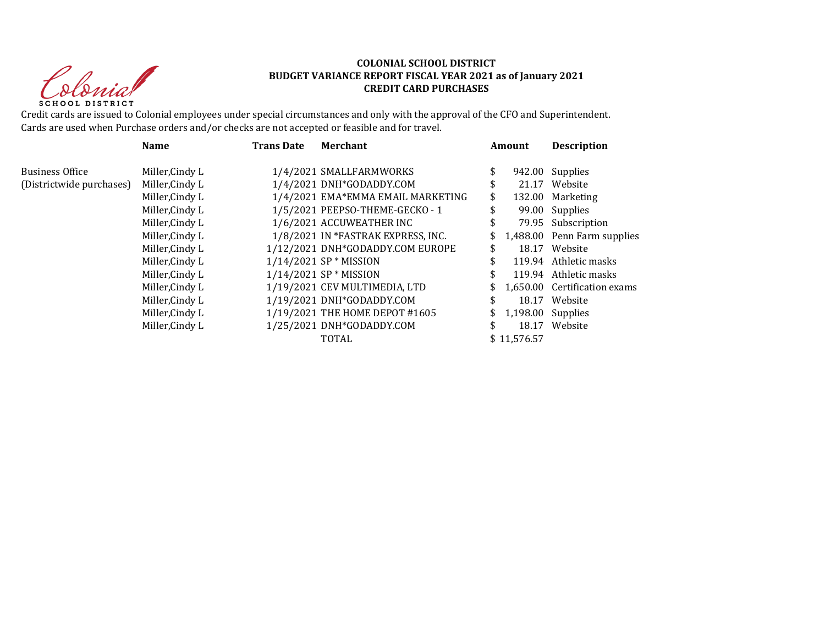Clerid SCHOOL DISTRICT

## **COLONIAL SCHOOL DISTRICT BUDGET VARIANCE REPORT FISCAL YEAR 2021 as of January 2021 CREDIT CARD PURCHASES**

Credit cards are issued to Colonial employees under special circumstances and only with the approval of the CFO and Superintendent. Cards are used when Purchase orders and/or checks are not accepted or feasible and for travel.

|                          | <b>Name</b><br><b>Trans Date</b> |  | <b>Merchant</b>                    |     | Amount               | <b>Description</b>           |  |
|--------------------------|----------------------------------|--|------------------------------------|-----|----------------------|------------------------------|--|
| <b>Business Office</b>   | Miller, Cindy L                  |  | 1/4/2021 SMALLFARMWORKS            | \$  |                      | 942.00 Supplies              |  |
| (Districtwide purchases) | Miller, Cindy L                  |  | 1/4/2021 DNH*GODADDY.COM           | \$  |                      | 21.17 Website                |  |
|                          | Miller, Cindy L                  |  | 1/4/2021 EMA*EMMA EMAIL MARKETING  | \$  |                      | 132.00 Marketing             |  |
|                          | Miller, Cindy L                  |  | 1/5/2021 PEEPSO-THEME-GECKO-1      |     |                      | 99.00 Supplies               |  |
|                          | Miller, Cindy L                  |  | 1/6/2021 ACCUWEATHER INC           | \$  |                      | 79.95 Subscription           |  |
|                          | Miller, Cindy L                  |  | 1/8/2021 IN *FASTRAK EXPRESS, INC. | \$  |                      | 1,488.00 Penn Farm supplies  |  |
|                          | Miller, Cindy L                  |  | 1/12/2021 DNH*GODADDY.COM EUROPE   | \$  |                      | 18.17 Website                |  |
|                          | Miller, Cindy L                  |  | $1/14/2021$ SP * MISSION           |     |                      | 119.94 Athletic masks        |  |
|                          | Miller, Cindy L                  |  | $1/14/2021$ SP * MISSION           |     |                      | 119.94 Athletic masks        |  |
|                          | Miller, Cindy L                  |  | 1/19/2021 CEV MULTIMEDIA, LTD      | \$  |                      | 1.650.00 Certification exams |  |
|                          | Miller, Cindy L                  |  | 1/19/2021 DNH*GODADDY.COM          | \$. |                      | 18.17 Website                |  |
|                          | Miller, Cindy L                  |  | 1/19/2021 THE HOME DEPOT #1605     |     | \$ 1,198.00 Supplies |                              |  |
|                          | Miller, Cindy L                  |  | 1/25/2021 DNH*GODADDY.COM          | \$. | 18.17                | Website                      |  |
|                          |                                  |  | <b>TOTAL</b>                       |     | \$11,576.57          |                              |  |